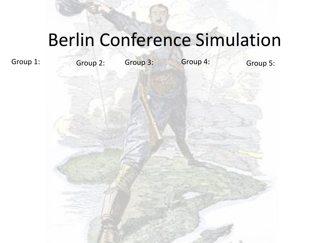### Berlin Conference Simulation

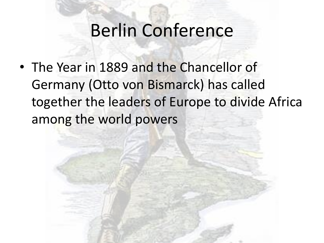#### Berlin Conference

• The Year in 1889 and the Chancellor of Germany (Otto von Bismarck) has called together the leaders of Europe to divide Africa among the world powers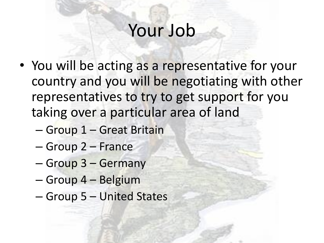#### Your Job

- You will be acting as a representative for your country and you will be negotiating with other representatives to try to get support for you taking over a particular area of land
	- Group 1 Great Britain
	- Group 2 France
	- Group 3 Germany
	- Group 4 Belgium
	- Group 5 United States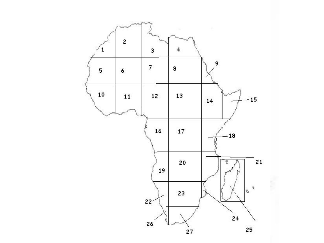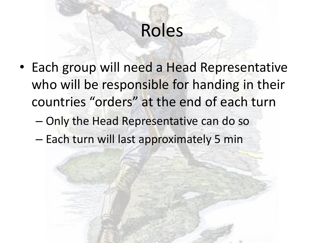# Roles

- Each group will need a Head Representative who will be responsible for handing in their countries "orders" at the end of each turn
	- Only the Head Representative can do so
	- Each turn will last approximately 5 min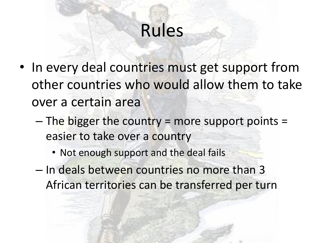# Rules

- In every deal countries must get support from other countries who would allow them to take over a certain area
	- The bigger the country = more support points = easier to take over a country
		- Not enough support and the deal fails
	- In deals between countries no more than 3 African territories can be transferred per turn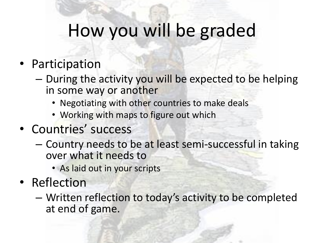#### How you will be graded

- Participation
	- During the activity you will be expected to be helping in some way or another
		- Negotiating with other countries to make deals
		- Working with maps to figure out which
- Countries' success
	- Country needs to be at least semi-successful in taking over what it needs to
		- As laid out in your scripts
- Reflection
	- Written reflection to today's activity to be completed at end of game.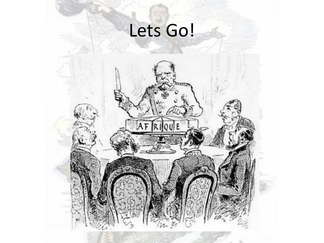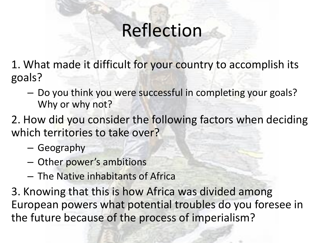## Reflection

1. What made it difficult for your country to accomplish its goals?

- Do you think you were successful in completing your goals? Why or why not?
- 2. How did you consider the following factors when deciding which territories to take over?
	- Geography
	- Other power's ambitions
	- The Native inhabitants of Africa

3. Knowing that this is how Africa was divided among European powers what potential troubles do you foresee in the future because of the process of imperialism?